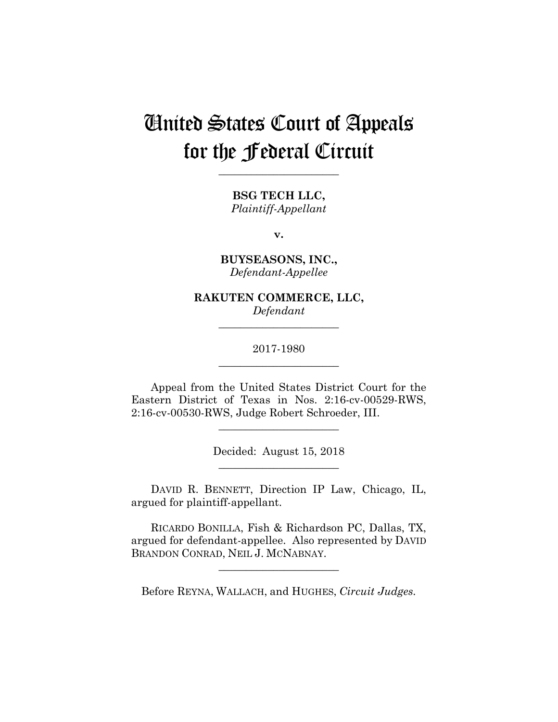# United States Court of Appeals for the Federal Circuit

**\_\_\_\_\_\_\_\_\_\_\_\_\_\_\_\_\_\_\_\_\_\_** 

**BSG TECH LLC,** *Plaintiff-Appellant*

**v.**

**BUYSEASONS, INC.,** *Defendant-Appellee*

**RAKUTEN COMMERCE, LLC,** *Defendant*

**\_\_\_\_\_\_\_\_\_\_\_\_\_\_\_\_\_\_\_\_\_\_** 

2017-1980 **\_\_\_\_\_\_\_\_\_\_\_\_\_\_\_\_\_\_\_\_\_\_** 

Appeal from the United States District Court for the Eastern District of Texas in Nos. 2:16-cv-00529-RWS, 2:16-cv-00530-RWS, Judge Robert Schroeder, III.

**\_\_\_\_\_\_\_\_\_\_\_\_\_\_\_\_\_\_\_\_\_\_** 

Decided: August 15, 2018 **\_\_\_\_\_\_\_\_\_\_\_\_\_\_\_\_\_\_\_\_\_\_** 

 DAVID R. BENNETT, Direction IP Law, Chicago, IL, argued for plaintiff-appellant.

 RICARDO BONILLA, Fish & Richardson PC, Dallas, TX, argued for defendant-appellee. Also represented by DAVID BRANDON CONRAD, NEIL J. MCNABNAY.

**\_\_\_\_\_\_\_\_\_\_\_\_\_\_\_\_\_\_\_\_\_\_** 

Before REYNA, WALLACH, and HUGHES, *Circuit Judges.*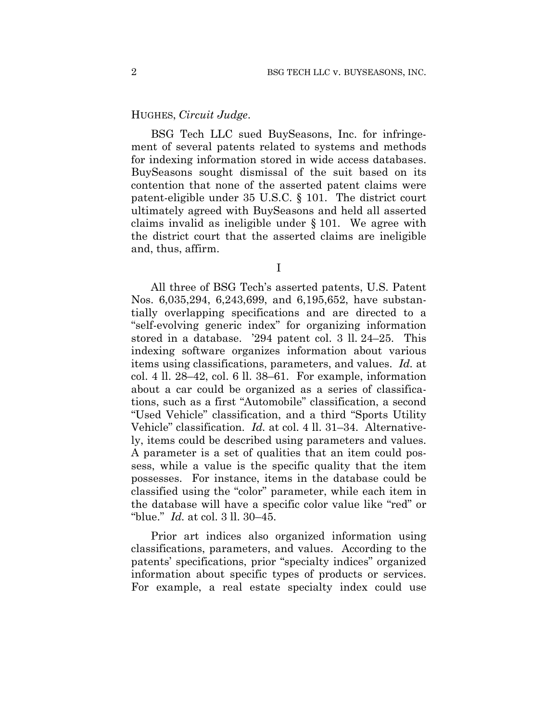### HUGHES, *Circuit Judge*.

BSG Tech LLC sued BuySeasons, Inc. for infringement of several patents related to systems and methods for indexing information stored in wide access databases. BuySeasons sought dismissal of the suit based on its contention that none of the asserted patent claims were patent-eligible under 35 U.S.C. § 101. The district court ultimately agreed with BuySeasons and held all asserted claims invalid as ineligible under § 101. We agree with the district court that the asserted claims are ineligible and, thus, affirm.

I

All three of BSG Tech's asserted patents, U.S. Patent Nos. 6,035,294, 6,243,699, and 6,195,652, have substantially overlapping specifications and are directed to a "self-evolving generic index" for organizing information stored in a database. '294 patent col. 3 ll. 24–25. This indexing software organizes information about various items using classifications, parameters, and values. *Id.* at col. 4 ll. 28–42, col. 6 ll. 38–61. For example, information about a car could be organized as a series of classifications, such as a first "Automobile" classification, a second "Used Vehicle" classification, and a third "Sports Utility Vehicle" classification. *Id.* at col. 4 ll. 31–34. Alternatively, items could be described using parameters and values. A parameter is a set of qualities that an item could possess, while a value is the specific quality that the item possesses. For instance, items in the database could be classified using the "color" parameter, while each item in the database will have a specific color value like "red" or "blue." *Id.* at col. 3 ll. 30–45.

Prior art indices also organized information using classifications, parameters, and values. According to the patents' specifications, prior "specialty indices" organized information about specific types of products or services. For example, a real estate specialty index could use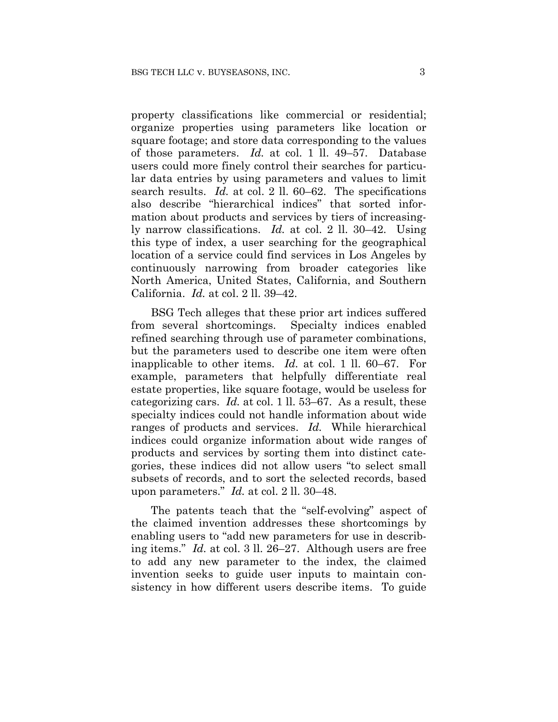property classifications like commercial or residential; organize properties using parameters like location or square footage; and store data corresponding to the values of those parameters. *Id.* at col. 1 ll. 49–57. Database users could more finely control their searches for particular data entries by using parameters and values to limit search results. *Id.* at col. 2 ll. 60–62. The specifications also describe "hierarchical indices" that sorted information about products and services by tiers of increasingly narrow classifications. *Id.* at col. 2 ll. 30–42. Using this type of index, a user searching for the geographical location of a service could find services in Los Angeles by continuously narrowing from broader categories like North America, United States, California, and Southern California. *Id.* at col. 2 ll. 39–42.

BSG Tech alleges that these prior art indices suffered from several shortcomings. Specialty indices enabled refined searching through use of parameter combinations, but the parameters used to describe one item were often inapplicable to other items. *Id.* at col. 1 ll. 60–67. For example, parameters that helpfully differentiate real estate properties, like square footage, would be useless for categorizing cars. *Id.* at col. 1 ll. 53–67. As a result, these specialty indices could not handle information about wide ranges of products and services. *Id.* While hierarchical indices could organize information about wide ranges of products and services by sorting them into distinct categories, these indices did not allow users "to select small subsets of records, and to sort the selected records, based upon parameters." *Id.* at col. 2 ll. 30–48.

The patents teach that the "self-evolving" aspect of the claimed invention addresses these shortcomings by enabling users to "add new parameters for use in describing items." *Id.* at col. 3 ll. 26–27. Although users are free to add any new parameter to the index, the claimed invention seeks to guide user inputs to maintain consistency in how different users describe items. To guide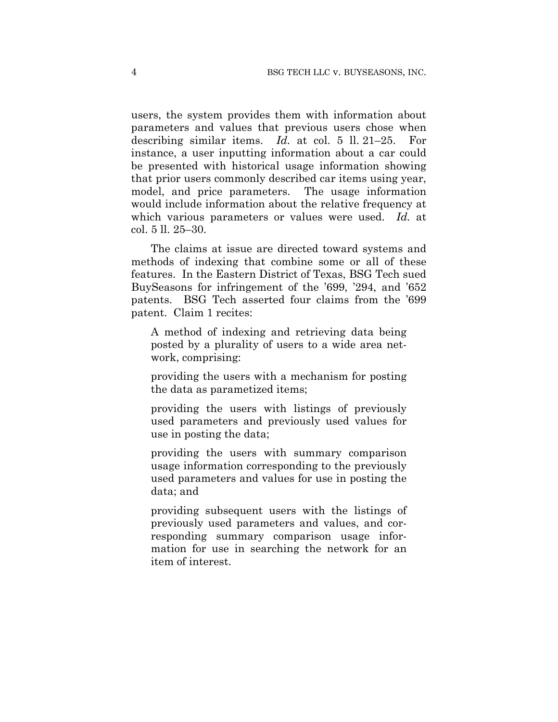users, the system provides them with information about parameters and values that previous users chose when describing similar items. *Id.* at col. 5 ll. 21–25. For instance, a user inputting information about a car could be presented with historical usage information showing that prior users commonly described car items using year, model, and price parameters. The usage information would include information about the relative frequency at which various parameters or values were used. *Id.* at col. 5 ll. 25–30.

The claims at issue are directed toward systems and methods of indexing that combine some or all of these features. In the Eastern District of Texas, BSG Tech sued BuySeasons for infringement of the '699, '294, and '652 patents. BSG Tech asserted four claims from the '699 patent. Claim 1 recites:

A method of indexing and retrieving data being posted by a plurality of users to a wide area network, comprising:

providing the users with a mechanism for posting the data as parametized items;

providing the users with listings of previously used parameters and previously used values for use in posting the data;

providing the users with summary comparison usage information corresponding to the previously used parameters and values for use in posting the data; and

providing subsequent users with the listings of previously used parameters and values, and corresponding summary comparison usage information for use in searching the network for an item of interest.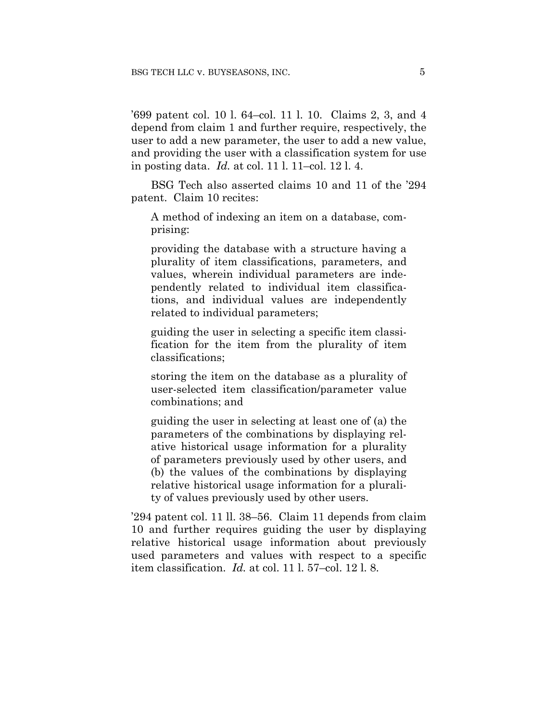'699 patent col. 10 l. 64–col. 11 l. 10. Claims 2, 3, and 4 depend from claim 1 and further require, respectively, the user to add a new parameter, the user to add a new value, and providing the user with a classification system for use in posting data. *Id.* at col. 11 l. 11–col. 12 l. 4.

BSG Tech also asserted claims 10 and 11 of the '294 patent. Claim 10 recites:

A method of indexing an item on a database, comprising:

providing the database with a structure having a plurality of item classifications, parameters, and values, wherein individual parameters are independently related to individual item classifications, and individual values are independently related to individual parameters;

guiding the user in selecting a specific item classification for the item from the plurality of item classifications;

storing the item on the database as a plurality of user-selected item classification/parameter value combinations; and

guiding the user in selecting at least one of (a) the parameters of the combinations by displaying relative historical usage information for a plurality of parameters previously used by other users, and (b) the values of the combinations by displaying relative historical usage information for a plurality of values previously used by other users.

'294 patent col. 11 ll. 38–56. Claim 11 depends from claim 10 and further requires guiding the user by displaying relative historical usage information about previously used parameters and values with respect to a specific item classification. *Id.* at col. 11 l. 57–col. 12 l. 8.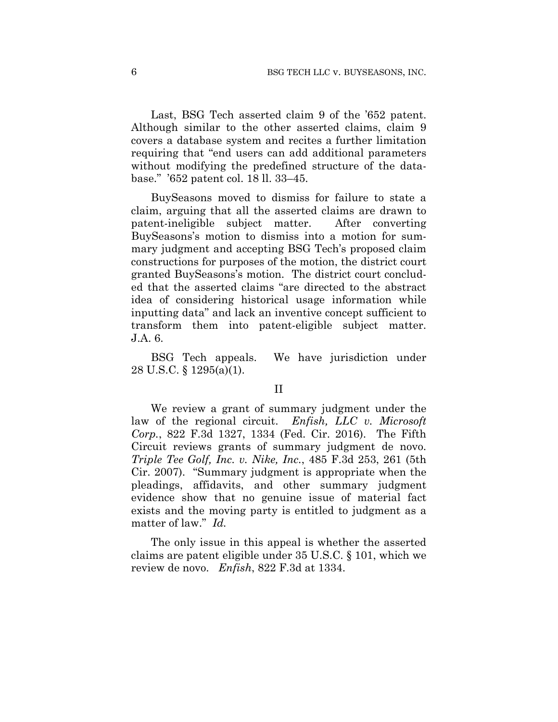Last, BSG Tech asserted claim 9 of the '652 patent. Although similar to the other asserted claims, claim 9 covers a database system and recites a further limitation requiring that "end users can add additional parameters without modifying the predefined structure of the database." '652 patent col. 18 ll. 33–45.

BuySeasons moved to dismiss for failure to state a claim, arguing that all the asserted claims are drawn to patent-ineligible subject matter. After converting BuySeasons's motion to dismiss into a motion for summary judgment and accepting BSG Tech's proposed claim constructions for purposes of the motion, the district court granted BuySeasons's motion. The district court concluded that the asserted claims "are directed to the abstract idea of considering historical usage information while inputting data" and lack an inventive concept sufficient to transform them into patent-eligible subject matter. J.A. 6.

BSG Tech appeals. We have jurisdiction under 28 U.S.C. § 1295(a)(1).

#### II

We review a grant of summary judgment under the law of the regional circuit. *Enfish, LLC v. Microsoft Corp.*, 822 F.3d 1327, 1334 (Fed. Cir. 2016). The Fifth Circuit reviews grants of summary judgment de novo. *Triple Tee Golf, Inc. v. Nike, Inc.*, 485 F.3d 253, 261 (5th Cir. 2007). "Summary judgment is appropriate when the pleadings, affidavits, and other summary judgment evidence show that no genuine issue of material fact exists and the moving party is entitled to judgment as a matter of law." *Id.*

The only issue in this appeal is whether the asserted claims are patent eligible under 35 U.S.C. § 101, which we review de novo. *Enfish*, 822 F.3d at 1334.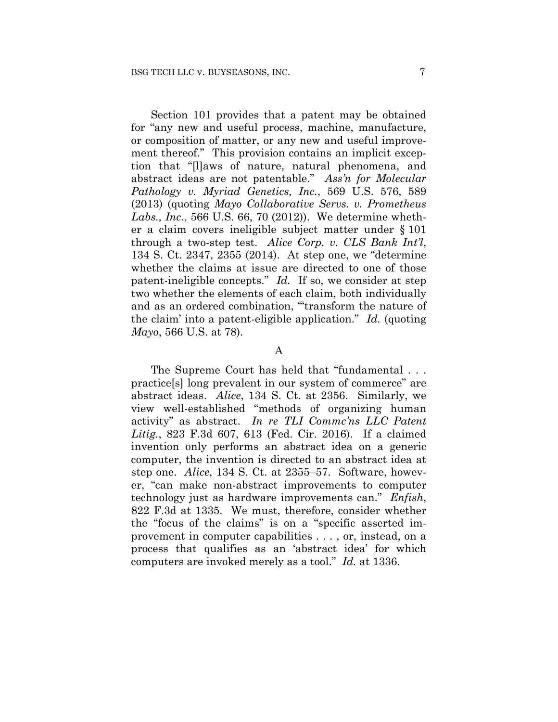Section 101 provides that a patent may be obtained for "any new and useful process, machine, manufacture, or composition of matter, or any new and useful improvement thereof." This provision contains an implicit exception that "[l]aws of nature, natural phenomena, and abstract ideas are not patentable." *Ass'n for Molecular Pathology v. Myriad Genetics, Inc.*, 569 U.S. 576, 589 (2013) (quoting *Mayo Collaborative Servs. v. Prometheus Labs., Inc.*, 566 U.S. 66, 70 (2012)). We determine whether a claim covers ineligible subject matter under § 101 through a two-step test. *Alice Corp. v. CLS Bank Int'l*, 134 S. Ct. 2347, 2355 (2014). At step one, we "determine whether the claims at issue are directed to one of those patent-ineligible concepts." *Id.* If so, we consider at step two whether the elements of each claim, both individually and as an ordered combination, "'transform the nature of the claim' into a patent-eligible application." *Id.* (quoting *Mayo*, 566 U.S. at 78).

#### A

The Supreme Court has held that "fundamental . . . practice[s] long prevalent in our system of commerce" are abstract ideas. *Alice*, 134 S. Ct. at 2356. Similarly, we view well-established "methods of organizing human activity" as abstract. *In re TLI Commc'ns LLC Patent Litig.*, 823 F.3d 607, 613 (Fed. Cir. 2016). If a claimed invention only performs an abstract idea on a generic computer, the invention is directed to an abstract idea at step one. *Alice*, 134 S. Ct. at 2355–57. Software, however, "can make non-abstract improvements to computer technology just as hardware improvements can." *Enfish*, 822 F.3d at 1335. We must, therefore, consider whether the "focus of the claims" is on a "specific asserted improvement in computer capabilities . . . , or, instead, on a process that qualifies as an 'abstract idea' for which computers are invoked merely as a tool." *Id.* at 1336.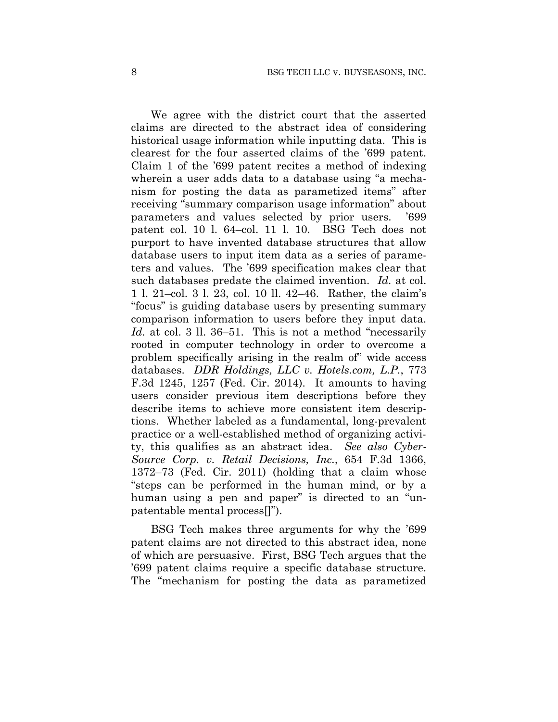We agree with the district court that the asserted claims are directed to the abstract idea of considering historical usage information while inputting data. This is clearest for the four asserted claims of the '699 patent. Claim 1 of the '699 patent recites a method of indexing wherein a user adds data to a database using "a mechanism for posting the data as parametized items" after receiving "summary comparison usage information" about parameters and values selected by prior users. '699 patent col. 10 l. 64–col. 11 l. 10. BSG Tech does not purport to have invented database structures that allow database users to input item data as a series of parameters and values. The '699 specification makes clear that such databases predate the claimed invention. *Id.* at col. 1 l. 21–col. 3 l. 23, col. 10 ll. 42–46. Rather, the claim's "focus" is guiding database users by presenting summary comparison information to users before they input data. Id. at col. 3 ll. 36–51. This is not a method "necessarily rooted in computer technology in order to overcome a problem specifically arising in the realm of" wide access databases. *DDR Holdings, LLC v. Hotels.com, L.P.*, 773 F.3d 1245, 1257 (Fed. Cir. 2014). It amounts to having users consider previous item descriptions before they describe items to achieve more consistent item descriptions. Whether labeled as a fundamental, long-prevalent practice or a well-established method of organizing activity, this qualifies as an abstract idea. *See also Cyber-Source Corp. v. Retail Decisions, Inc.*, 654 F.3d 1366, 1372–73 (Fed. Cir. 2011) (holding that a claim whose "steps can be performed in the human mind, or by a human using a pen and paper" is directed to an "unpatentable mental process[]").

BSG Tech makes three arguments for why the '699 patent claims are not directed to this abstract idea, none of which are persuasive. First, BSG Tech argues that the '699 patent claims require a specific database structure. The "mechanism for posting the data as parametized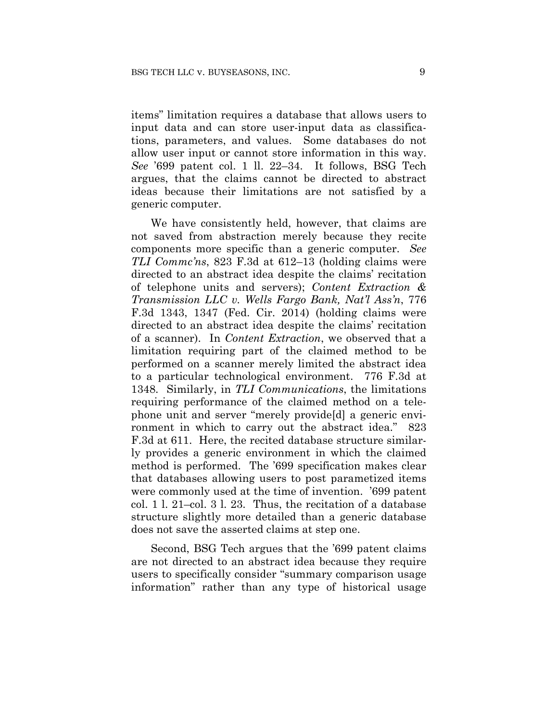items" limitation requires a database that allows users to input data and can store user-input data as classifications, parameters, and values. Some databases do not allow user input or cannot store information in this way. *See* '699 patent col. 1 ll. 22–34. It follows, BSG Tech argues, that the claims cannot be directed to abstract ideas because their limitations are not satisfied by a generic computer.

We have consistently held, however, that claims are not saved from abstraction merely because they recite components more specific than a generic computer. *See TLI Commc'ns*, 823 F.3d at 612–13 (holding claims were directed to an abstract idea despite the claims' recitation of telephone units and servers); *Content Extraction & Transmission LLC v. Wells Fargo Bank, Nat'l Ass'n*, 776 F.3d 1343, 1347 (Fed. Cir. 2014) (holding claims were directed to an abstract idea despite the claims' recitation of a scanner). In *Content Extraction*, we observed that a limitation requiring part of the claimed method to be performed on a scanner merely limited the abstract idea to a particular technological environment. 776 F.3d at 1348. Similarly, in *TLI Communications*, the limitations requiring performance of the claimed method on a telephone unit and server "merely provide[d] a generic environment in which to carry out the abstract idea." 823 F.3d at 611. Here, the recited database structure similarly provides a generic environment in which the claimed method is performed. The '699 specification makes clear that databases allowing users to post parametized items were commonly used at the time of invention. '699 patent col. 1 l. 21–col. 3 l. 23. Thus, the recitation of a database structure slightly more detailed than a generic database does not save the asserted claims at step one.

Second, BSG Tech argues that the '699 patent claims are not directed to an abstract idea because they require users to specifically consider "summary comparison usage information" rather than any type of historical usage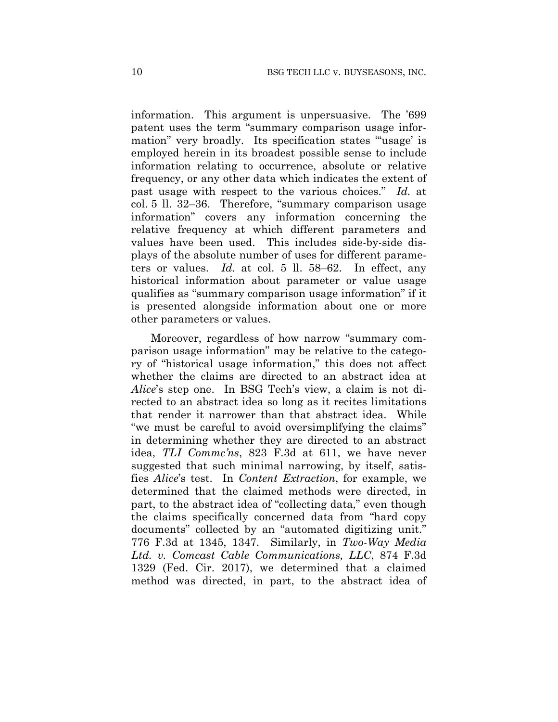information. This argument is unpersuasive. The '699 patent uses the term "summary comparison usage information" very broadly. Its specification states "usage' is employed herein in its broadest possible sense to include information relating to occurrence, absolute or relative frequency, or any other data which indicates the extent of past usage with respect to the various choices." *Id.* at col. 5 ll. 32–36. Therefore, "summary comparison usage information" covers any information concerning the relative frequency at which different parameters and values have been used. This includes side-by-side displays of the absolute number of uses for different parameters or values. *Id.* at col. 5 ll. 58–62. In effect, any historical information about parameter or value usage qualifies as "summary comparison usage information" if it is presented alongside information about one or more other parameters or values.

Moreover, regardless of how narrow "summary comparison usage information" may be relative to the category of "historical usage information," this does not affect whether the claims are directed to an abstract idea at *Alice*'s step one. In BSG Tech's view, a claim is not directed to an abstract idea so long as it recites limitations that render it narrower than that abstract idea. While "we must be careful to avoid oversimplifying the claims" in determining whether they are directed to an abstract idea, *TLI Commc'ns*, 823 F.3d at 611, we have never suggested that such minimal narrowing, by itself, satisfies *Alice*'s test. In *Content Extraction*, for example, we determined that the claimed methods were directed, in part, to the abstract idea of "collecting data," even though the claims specifically concerned data from "hard copy documents" collected by an "automated digitizing unit." 776 F.3d at 1345, 1347. Similarly, in *Two-Way Media Ltd. v. Comcast Cable Communications, LLC*, 874 F.3d 1329 (Fed. Cir. 2017), we determined that a claimed method was directed, in part, to the abstract idea of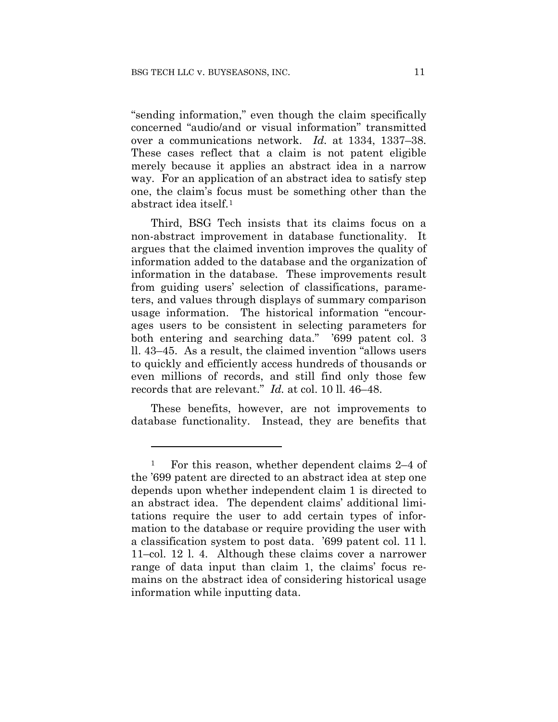1

"sending information," even though the claim specifically concerned "audio/and or visual information" transmitted over a communications network. *Id.* at 1334, 1337–38. These cases reflect that a claim is not patent eligible merely because it applies an abstract idea in a narrow way. For an application of an abstract idea to satisfy step one, the claim's focus must be something other than the abstract idea itself.1

Third, BSG Tech insists that its claims focus on a non-abstract improvement in database functionality. It argues that the claimed invention improves the quality of information added to the database and the organization of information in the database. These improvements result from guiding users' selection of classifications, parameters, and values through displays of summary comparison usage information. The historical information "encourages users to be consistent in selecting parameters for both entering and searching data." '699 patent col. 3 ll. 43–45. As a result, the claimed invention "allows users to quickly and efficiently access hundreds of thousands or even millions of records, and still find only those few records that are relevant." *Id.* at col. 10 ll. 46–48.

These benefits, however, are not improvements to database functionality. Instead, they are benefits that

<sup>&</sup>lt;sup>1</sup> For this reason, whether dependent claims 2–4 of the '699 patent are directed to an abstract idea at step one depends upon whether independent claim 1 is directed to an abstract idea. The dependent claims' additional limitations require the user to add certain types of information to the database or require providing the user with a classification system to post data. '699 patent col. 11 l. 11–col. 12 l. 4. Although these claims cover a narrower range of data input than claim 1, the claims' focus remains on the abstract idea of considering historical usage information while inputting data.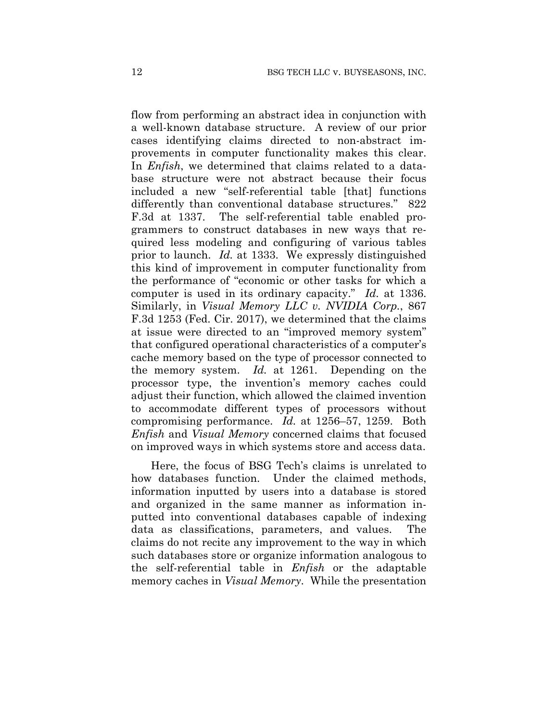flow from performing an abstract idea in conjunction with a well-known database structure. A review of our prior cases identifying claims directed to non-abstract improvements in computer functionality makes this clear. In *Enfish*, we determined that claims related to a database structure were not abstract because their focus included a new "self-referential table [that] functions differently than conventional database structures." 822 F.3d at 1337. The self-referential table enabled programmers to construct databases in new ways that required less modeling and configuring of various tables prior to launch. *Id.* at 1333. We expressly distinguished this kind of improvement in computer functionality from the performance of "economic or other tasks for which a computer is used in its ordinary capacity." *Id.* at 1336. Similarly, in *Visual Memory LLC v. NVIDIA Corp.*, 867 F.3d 1253 (Fed. Cir. 2017), we determined that the claims at issue were directed to an "improved memory system" that configured operational characteristics of a computer's cache memory based on the type of processor connected to the memory system. *Id.* at 1261. Depending on the processor type, the invention's memory caches could adjust their function, which allowed the claimed invention to accommodate different types of processors without compromising performance. *Id.* at 1256–57, 1259. Both *Enfish* and *Visual Memory* concerned claims that focused on improved ways in which systems store and access data.

Here, the focus of BSG Tech's claims is unrelated to how databases function. Under the claimed methods, information inputted by users into a database is stored and organized in the same manner as information inputted into conventional databases capable of indexing data as classifications, parameters, and values. The claims do not recite any improvement to the way in which such databases store or organize information analogous to the self-referential table in *Enfish* or the adaptable memory caches in *Visual Memory*. While the presentation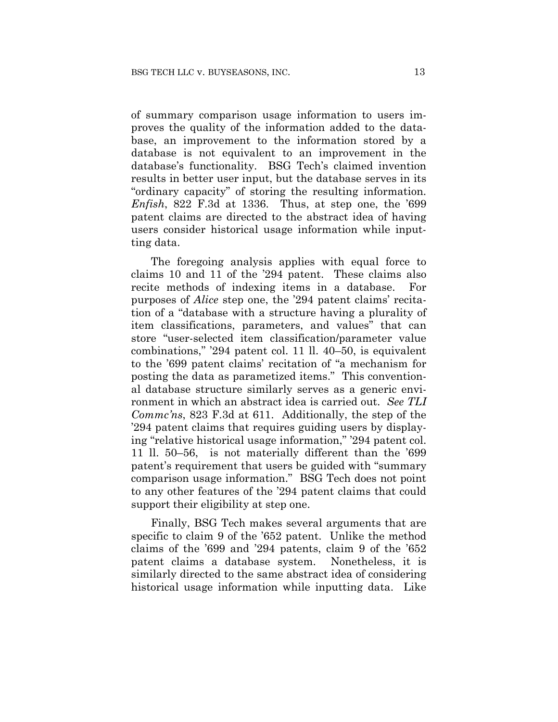of summary comparison usage information to users improves the quality of the information added to the database, an improvement to the information stored by a database is not equivalent to an improvement in the database's functionality. BSG Tech's claimed invention results in better user input, but the database serves in its "ordinary capacity" of storing the resulting information. *Enfish*, 822 F.3d at 1336. Thus, at step one, the '699 patent claims are directed to the abstract idea of having users consider historical usage information while inputting data.

The foregoing analysis applies with equal force to claims 10 and 11 of the '294 patent. These claims also recite methods of indexing items in a database. For purposes of *Alice* step one, the '294 patent claims' recitation of a "database with a structure having a plurality of item classifications, parameters, and values" that can store "user-selected item classification/parameter value combinations," '294 patent col. 11 ll. 40–50, is equivalent to the '699 patent claims' recitation of "a mechanism for posting the data as parametized items." This conventional database structure similarly serves as a generic environment in which an abstract idea is carried out. *See TLI Commc'ns*, 823 F.3d at 611. Additionally, the step of the '294 patent claims that requires guiding users by displaying "relative historical usage information," '294 patent col. 11 ll. 50–56, is not materially different than the '699 patent's requirement that users be guided with "summary comparison usage information." BSG Tech does not point to any other features of the '294 patent claims that could support their eligibility at step one.

Finally, BSG Tech makes several arguments that are specific to claim 9 of the '652 patent. Unlike the method claims of the '699 and '294 patents, claim 9 of the '652 patent claims a database system. Nonetheless, it is similarly directed to the same abstract idea of considering historical usage information while inputting data. Like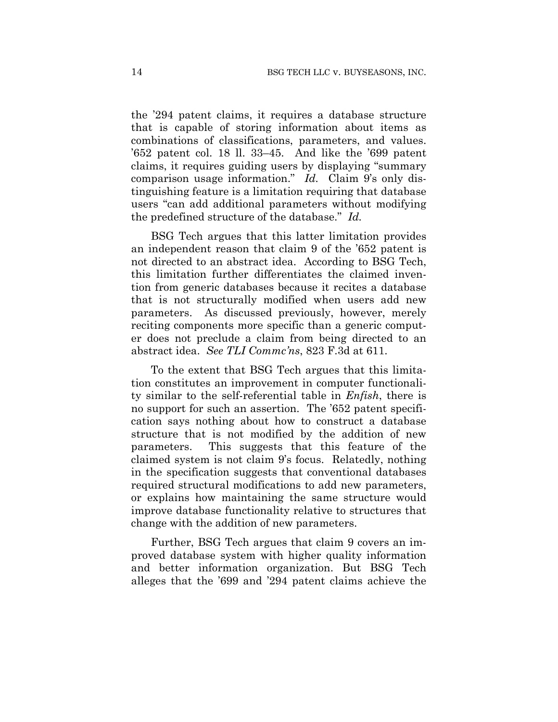the '294 patent claims, it requires a database structure that is capable of storing information about items as combinations of classifications, parameters, and values. '652 patent col. 18 ll. 33–45. And like the '699 patent claims, it requires guiding users by displaying "summary comparison usage information." *Id.* Claim 9's only distinguishing feature is a limitation requiring that database users "can add additional parameters without modifying the predefined structure of the database." *Id.*

BSG Tech argues that this latter limitation provides an independent reason that claim 9 of the '652 patent is not directed to an abstract idea. According to BSG Tech, this limitation further differentiates the claimed invention from generic databases because it recites a database that is not structurally modified when users add new parameters. As discussed previously, however, merely reciting components more specific than a generic computer does not preclude a claim from being directed to an abstract idea. *See TLI Commc'ns*, 823 F.3d at 611.

To the extent that BSG Tech argues that this limitation constitutes an improvement in computer functionality similar to the self-referential table in *Enfish*, there is no support for such an assertion. The '652 patent specification says nothing about how to construct a database structure that is not modified by the addition of new parameters. This suggests that this feature of the claimed system is not claim 9's focus. Relatedly, nothing in the specification suggests that conventional databases required structural modifications to add new parameters, or explains how maintaining the same structure would improve database functionality relative to structures that change with the addition of new parameters.

Further, BSG Tech argues that claim 9 covers an improved database system with higher quality information and better information organization. But BSG Tech alleges that the '699 and '294 patent claims achieve the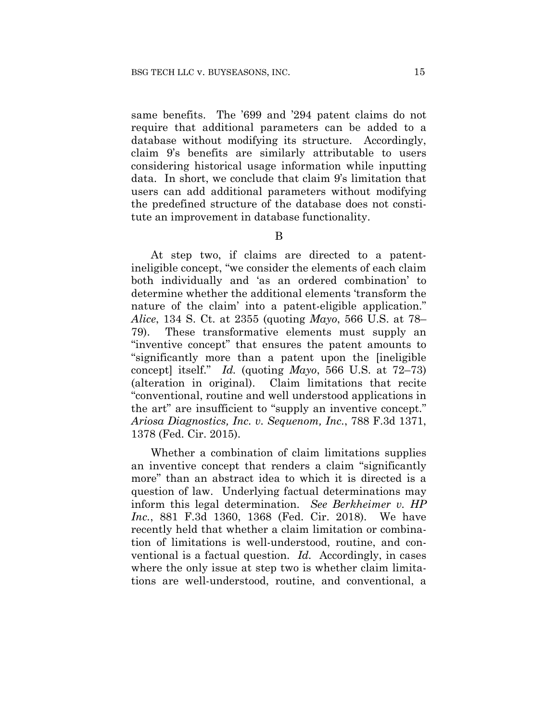same benefits. The '699 and '294 patent claims do not require that additional parameters can be added to a database without modifying its structure. Accordingly, claim 9's benefits are similarly attributable to users considering historical usage information while inputting data. In short, we conclude that claim 9's limitation that users can add additional parameters without modifying the predefined structure of the database does not constitute an improvement in database functionality.

B

At step two, if claims are directed to a patentineligible concept, "we consider the elements of each claim both individually and 'as an ordered combination' to determine whether the additional elements 'transform the nature of the claim' into a patent-eligible application." *Alice*, 134 S. Ct. at 2355 (quoting *Mayo*, 566 U.S. at 78– 79). These transformative elements must supply an "inventive concept" that ensures the patent amounts to "significantly more than a patent upon the [ineligible concept] itself." *Id.* (quoting *Mayo*, 566 U.S. at 72–73) (alteration in original). Claim limitations that recite "conventional, routine and well understood applications in the art" are insufficient to "supply an inventive concept." *Ariosa Diagnostics, Inc. v. Sequenom, Inc.*, 788 F.3d 1371, 1378 (Fed. Cir. 2015).

Whether a combination of claim limitations supplies an inventive concept that renders a claim "significantly more" than an abstract idea to which it is directed is a question of law. Underlying factual determinations may inform this legal determination. *See Berkheimer v. HP Inc.*, 881 F.3d 1360, 1368 (Fed. Cir. 2018). We have recently held that whether a claim limitation or combination of limitations is well-understood, routine, and conventional is a factual question. *Id.* Accordingly, in cases where the only issue at step two is whether claim limitations are well-understood, routine, and conventional, a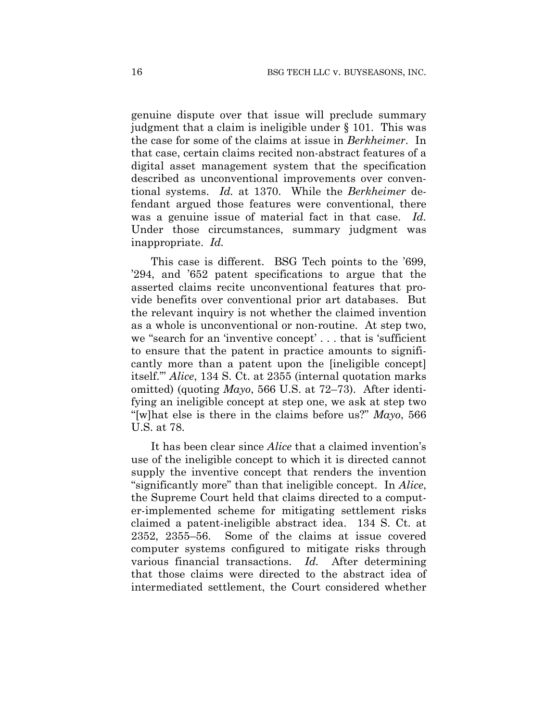genuine dispute over that issue will preclude summary judgment that a claim is ineligible under § 101. This was the case for some of the claims at issue in *Berkheimer*. In that case, certain claims recited non-abstract features of a digital asset management system that the specification described as unconventional improvements over conventional systems. *Id.* at 1370. While the *Berkheimer* defendant argued those features were conventional, there was a genuine issue of material fact in that case. *Id.*  Under those circumstances, summary judgment was inappropriate. *Id.*

This case is different. BSG Tech points to the '699, '294, and '652 patent specifications to argue that the asserted claims recite unconventional features that provide benefits over conventional prior art databases. But the relevant inquiry is not whether the claimed invention as a whole is unconventional or non-routine. At step two, we "search for an 'inventive concept' . . . that is 'sufficient to ensure that the patent in practice amounts to significantly more than a patent upon the [ineligible concept] itself.'" *Alice*, 134 S. Ct. at 2355 (internal quotation marks omitted) (quoting *Mayo*, 566 U.S. at 72–73). After identifying an ineligible concept at step one, we ask at step two "[w]hat else is there in the claims before us?" *Mayo*, 566 U.S. at 78.

It has been clear since *Alice* that a claimed invention's use of the ineligible concept to which it is directed cannot supply the inventive concept that renders the invention "significantly more" than that ineligible concept. In *Alice*, the Supreme Court held that claims directed to a computer-implemented scheme for mitigating settlement risks claimed a patent-ineligible abstract idea. 134 S. Ct. at 2352, 2355–56. Some of the claims at issue covered computer systems configured to mitigate risks through various financial transactions. *Id.* After determining that those claims were directed to the abstract idea of intermediated settlement, the Court considered whether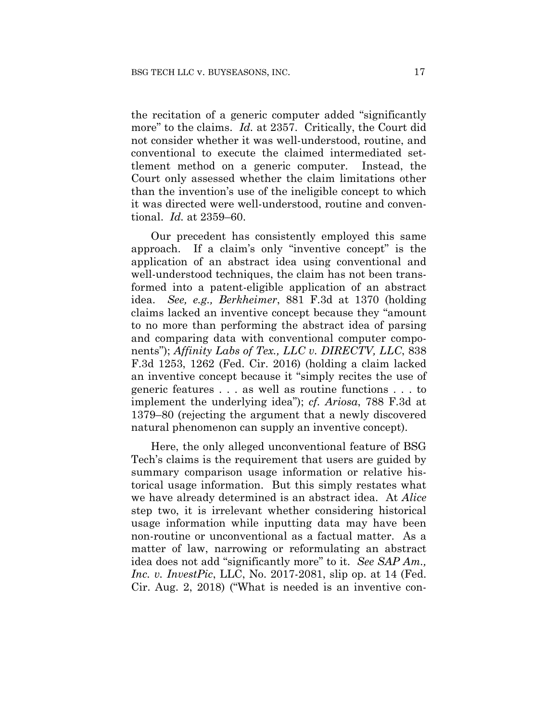the recitation of a generic computer added "significantly more" to the claims. *Id.* at 2357. Critically, the Court did not consider whether it was well-understood, routine, and conventional to execute the claimed intermediated settlement method on a generic computer. Instead, the Court only assessed whether the claim limitations other than the invention's use of the ineligible concept to which it was directed were well-understood, routine and conventional. *Id.* at 2359–60.

Our precedent has consistently employed this same approach. If a claim's only "inventive concept" is the application of an abstract idea using conventional and well-understood techniques, the claim has not been transformed into a patent-eligible application of an abstract idea. *See, e.g., Berkheimer*, 881 F.3d at 1370 (holding claims lacked an inventive concept because they "amount to no more than performing the abstract idea of parsing and comparing data with conventional computer components"); *Affinity Labs of Tex., LLC v. DIRECTV, LLC*, 838 F.3d 1253, 1262 (Fed. Cir. 2016) (holding a claim lacked an inventive concept because it "simply recites the use of generic features . . . as well as routine functions . . . to implement the underlying idea"); *cf. Ariosa*, 788 F.3d at 1379–80 (rejecting the argument that a newly discovered natural phenomenon can supply an inventive concept).

Here, the only alleged unconventional feature of BSG Tech's claims is the requirement that users are guided by summary comparison usage information or relative historical usage information. But this simply restates what we have already determined is an abstract idea. At *Alice* step two, it is irrelevant whether considering historical usage information while inputting data may have been non-routine or unconventional as a factual matter. As a matter of law, narrowing or reformulating an abstract idea does not add "significantly more" to it. *See SAP Am., Inc. v. InvestPic*, LLC, No. 2017-2081, slip op. at 14 (Fed. Cir. Aug. 2, 2018) ("What is needed is an inventive con-